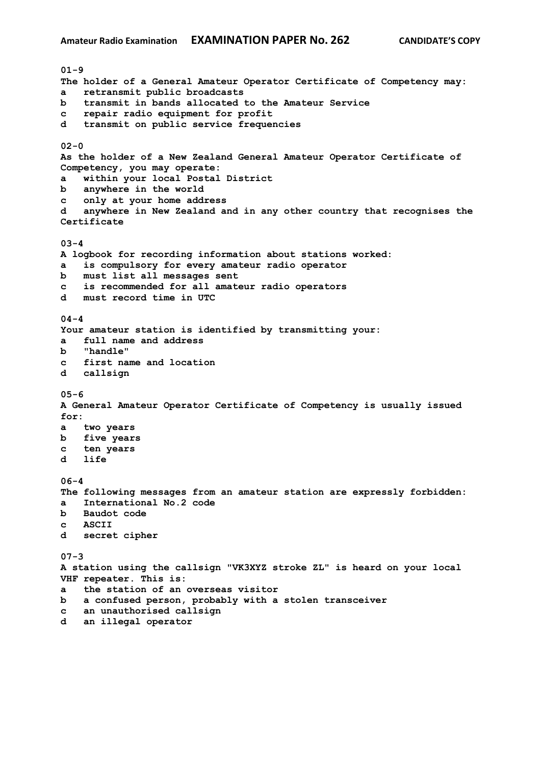**01-9 The holder of a General Amateur Operator Certificate of Competency may: a retransmit public broadcasts b transmit in bands allocated to the Amateur Service c repair radio equipment for profit d transmit on public service frequencies 02-0 As the holder of a New Zealand General Amateur Operator Certificate of Competency, you may operate: a within your local Postal District b anywhere in the world c only at your home address d anywhere in New Zealand and in any other country that recognises the Certificate 03-4 A logbook for recording information about stations worked: a is compulsory for every amateur radio operator b must list all messages sent c is recommended for all amateur radio operators d must record time in UTC 04-4 Your amateur station is identified by transmitting your: a full name and address b "handle" c first name and location d callsign 05-6 A General Amateur Operator Certificate of Competency is usually issued for: a two years b five years c ten years d life 06-4 The following messages from an amateur station are expressly forbidden: a International No.2 code b Baudot code c ASCII d secret cipher 07-3 A station using the callsign "VK3XYZ stroke ZL" is heard on your local VHF repeater. This is: a the station of an overseas visitor b a confused person, probably with a stolen transceiver c an unauthorised callsign d an illegal operator**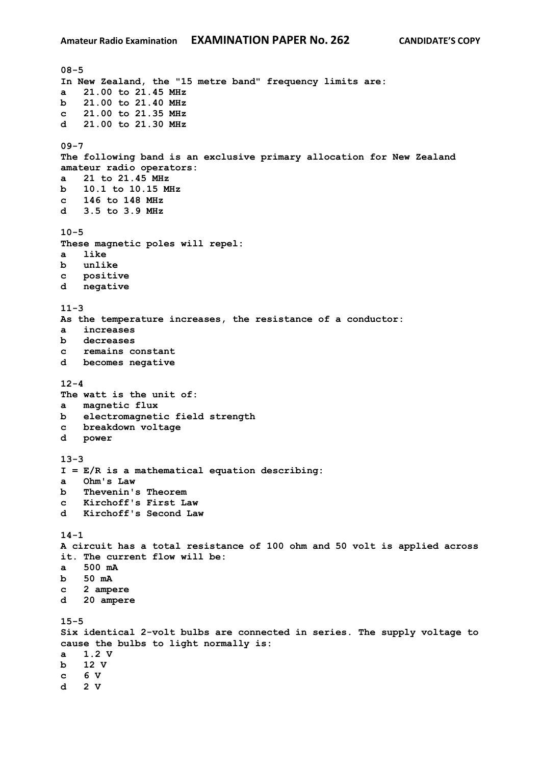**08-5 In New Zealand, the "15 metre band" frequency limits are: a 21.00 to 21.45 MHz b 21.00 to 21.40 MHz c 21.00 to 21.35 MHz d 21.00 to 21.30 MHz 09-7 The following band is an exclusive primary allocation for New Zealand amateur radio operators: a 21 to 21.45 MHz b 10.1 to 10.15 MHz c 146 to 148 MHz d 3.5 to 3.9 MHz 10-5 These magnetic poles will repel: a like b unlike c positive d negative 11-3 As the temperature increases, the resistance of a conductor: a increases b decreases c remains constant d becomes negative 12-4 The watt is the unit of: a magnetic flux b electromagnetic field strength c breakdown voltage d power 13-3 I = E/R is a mathematical equation describing: a Ohm's Law b Thevenin's Theorem c Kirchoff's First Law d Kirchoff's Second Law 14-1 A circuit has a total resistance of 100 ohm and 50 volt is applied across it. The current flow will be: a 500 mA b 50 mA c 2 ampere d 20 ampere 15-5 Six identical 2-volt bulbs are connected in series. The supply voltage to cause the bulbs to light normally is: a 1.2 V b 12 V c 6 V d 2 V**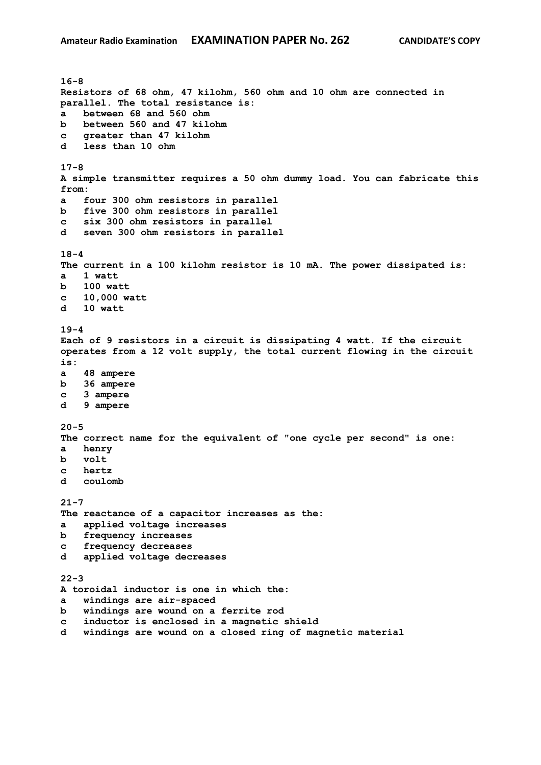**16-8 Resistors of 68 ohm, 47 kilohm, 560 ohm and 10 ohm are connected in parallel. The total resistance is: a between 68 and 560 ohm b between 560 and 47 kilohm c greater than 47 kilohm d less than 10 ohm 17-8 A simple transmitter requires a 50 ohm dummy load. You can fabricate this from: a four 300 ohm resistors in parallel b five 300 ohm resistors in parallel c six 300 ohm resistors in parallel d seven 300 ohm resistors in parallel 18-4 The current in a 100 kilohm resistor is 10 mA. The power dissipated is: a 1 watt b 100 watt c 10,000 watt d 10 watt 19-4 Each of 9 resistors in a circuit is dissipating 4 watt. If the circuit operates from a 12 volt supply, the total current flowing in the circuit is: a 48 ampere b 36 ampere c 3 ampere d 9 ampere 20-5 The correct name for the equivalent of "one cycle per second" is one: a henry b volt c hertz d coulomb 21-7 The reactance of a capacitor increases as the: a applied voltage increases b frequency increases c frequency decreases d applied voltage decreases 22-3 A toroidal inductor is one in which the: a windings are air-spaced b windings are wound on a ferrite rod c inductor is enclosed in a magnetic shield d windings are wound on a closed ring of magnetic material**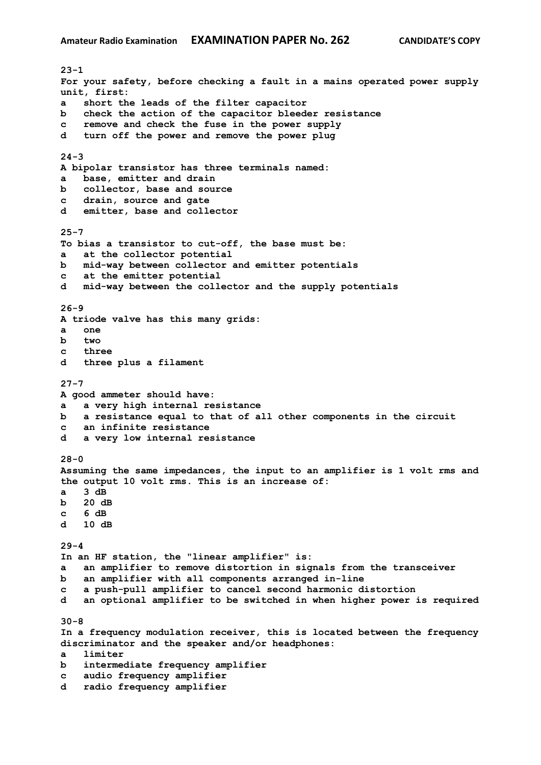**23-1 For your safety, before checking a fault in a mains operated power supply unit, first: a short the leads of the filter capacitor b check the action of the capacitor bleeder resistance c remove and check the fuse in the power supply d turn off the power and remove the power plug 24-3 A bipolar transistor has three terminals named: a base, emitter and drain b collector, base and source c drain, source and gate d emitter, base and collector 25-7 To bias a transistor to cut-off, the base must be: a at the collector potential b mid-way between collector and emitter potentials c at the emitter potential d mid-way between the collector and the supply potentials 26-9 A triode valve has this many grids: a one b two c three d three plus a filament 27-7 A good ammeter should have: a a very high internal resistance b a resistance equal to that of all other components in the circuit c an infinite resistance d a very low internal resistance 28-0 Assuming the same impedances, the input to an amplifier is 1 volt rms and the output 10 volt rms. This is an increase of: a 3 dB b 20 dB c 6 dB d 10 dB 29-4 In an HF station, the "linear amplifier" is: a an amplifier to remove distortion in signals from the transceiver b an amplifier with all components arranged in-line c a push-pull amplifier to cancel second harmonic distortion d an optional amplifier to be switched in when higher power is required 30-8 In a frequency modulation receiver, this is located between the frequency discriminator and the speaker and/or headphones: a limiter b intermediate frequency amplifier c audio frequency amplifier d radio frequency amplifier**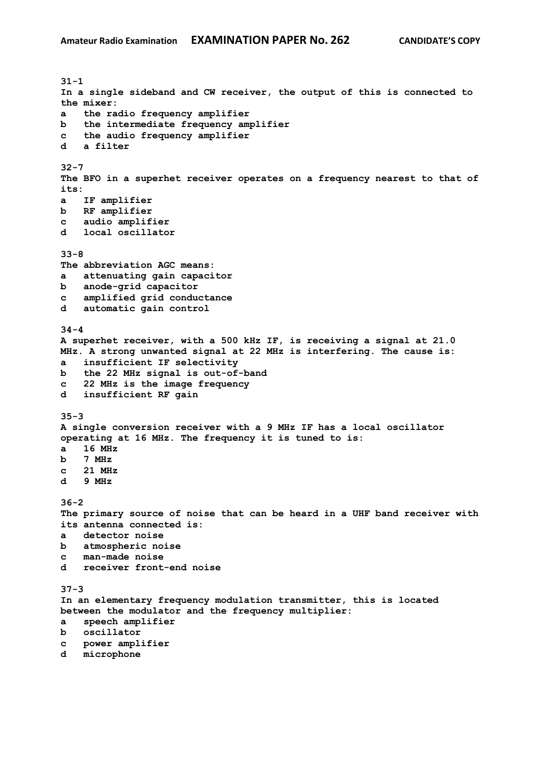**31-1 In a single sideband and CW receiver, the output of this is connected to the mixer: a the radio frequency amplifier b the intermediate frequency amplifier c the audio frequency amplifier d a filter 32-7 The BFO in a superhet receiver operates on a frequency nearest to that of its: a IF amplifier b RF amplifier c audio amplifier d local oscillator 33-8 The abbreviation AGC means: a attenuating gain capacitor b anode-grid capacitor c amplified grid conductance d automatic gain control 34-4 A superhet receiver, with a 500 kHz IF, is receiving a signal at 21.0 MHz. A strong unwanted signal at 22 MHz is interfering. The cause is: a insufficient IF selectivity b the 22 MHz signal is out-of-band c 22 MHz is the image frequency d insufficient RF gain 35-3 A single conversion receiver with a 9 MHz IF has a local oscillator operating at 16 MHz. The frequency it is tuned to is: a 16 MHz b 7 MHz c 21 MHz d 9 MHz 36-2 The primary source of noise that can be heard in a UHF band receiver with its antenna connected is: a detector noise b atmospheric noise c man-made noise d receiver front-end noise 37-3 In an elementary frequency modulation transmitter, this is located between the modulator and the frequency multiplier: a speech amplifier b oscillator c power amplifier d microphone**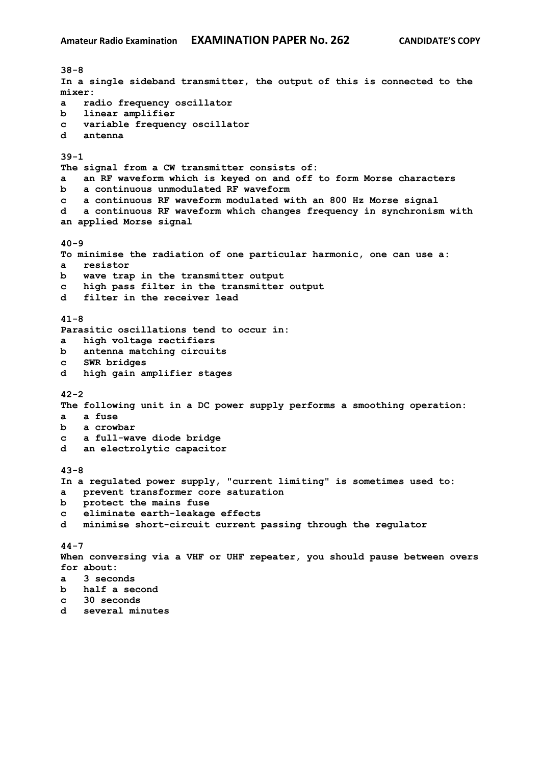**38-8 In a single sideband transmitter, the output of this is connected to the mixer: a radio frequency oscillator b linear amplifier c variable frequency oscillator d antenna 39-1 The signal from a CW transmitter consists of: a an RF waveform which is keyed on and off to form Morse characters b a continuous unmodulated RF waveform c a continuous RF waveform modulated with an 800 Hz Morse signal d a continuous RF waveform which changes frequency in synchronism with an applied Morse signal 40-9 To minimise the radiation of one particular harmonic, one can use a: a resistor b wave trap in the transmitter output c high pass filter in the transmitter output d filter in the receiver lead 41-8 Parasitic oscillations tend to occur in: a high voltage rectifiers b antenna matching circuits c SWR bridges d high gain amplifier stages 42-2 The following unit in a DC power supply performs a smoothing operation: a a fuse b a crowbar c a full-wave diode bridge d an electrolytic capacitor 43-8 In a regulated power supply, "current limiting" is sometimes used to: a prevent transformer core saturation b protect the mains fuse c eliminate earth-leakage effects d minimise short-circuit current passing through the regulator 44-7 When conversing via a VHF or UHF repeater, you should pause between overs for about: a 3 seconds b half a second c 30 seconds d several minutes**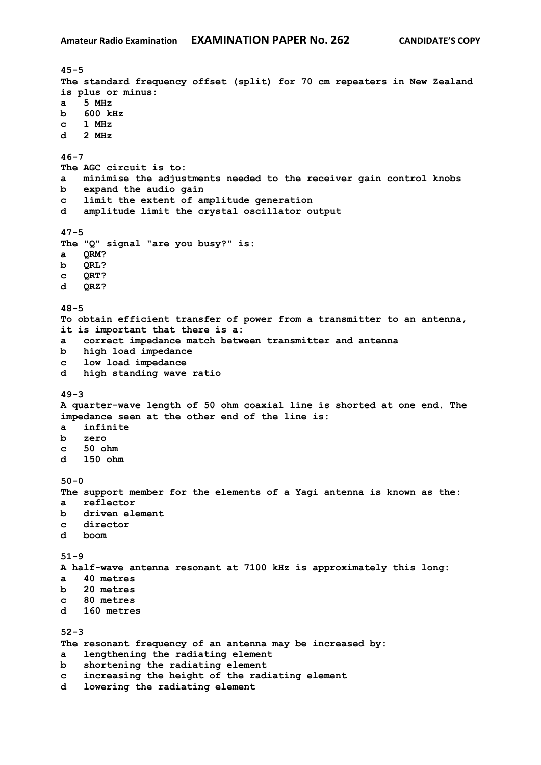**45-5 The standard frequency offset (split) for 70 cm repeaters in New Zealand is plus or minus: a 5 MHz b 600 kHz c 1 MHz d 2 MHz 46-7 The AGC circuit is to: a minimise the adjustments needed to the receiver gain control knobs b expand the audio gain c limit the extent of amplitude generation d amplitude limit the crystal oscillator output 47-5 The "Q" signal "are you busy?" is: a QRM? b QRL? c QRT? d QRZ? 48-5 To obtain efficient transfer of power from a transmitter to an antenna, it is important that there is a: a correct impedance match between transmitter and antenna b high load impedance c low load impedance d high standing wave ratio 49-3 A quarter-wave length of 50 ohm coaxial line is shorted at one end. The impedance seen at the other end of the line is: a infinite b zero c 50 ohm d 150 ohm 50-0 The support member for the elements of a Yagi antenna is known as the: a reflector b driven element c director d boom 51-9 A half-wave antenna resonant at 7100 kHz is approximately this long: a 40 metres b 20 metres c 80 metres d 160 metres 52-3 The resonant frequency of an antenna may be increased by: a lengthening the radiating element b shortening the radiating element c increasing the height of the radiating element d lowering the radiating element**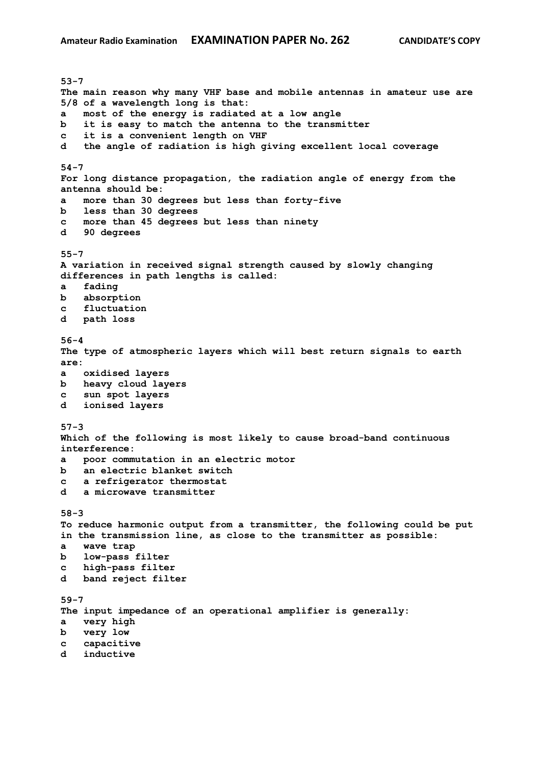**53-7 The main reason why many VHF base and mobile antennas in amateur use are 5/8 of a wavelength long is that: a most of the energy is radiated at a low angle b it is easy to match the antenna to the transmitter c it is a convenient length on VHF d the angle of radiation is high giving excellent local coverage 54-7 For long distance propagation, the radiation angle of energy from the antenna should be: a more than 30 degrees but less than forty-five b less than 30 degrees c more than 45 degrees but less than ninety d 90 degrees 55-7 A variation in received signal strength caused by slowly changing differences in path lengths is called: a fading b absorption c fluctuation d path loss 56-4 The type of atmospheric layers which will best return signals to earth are: a oxidised layers b heavy cloud layers c sun spot layers d ionised layers 57-3 Which of the following is most likely to cause broad-band continuous interference: a poor commutation in an electric motor b an electric blanket switch c a refrigerator thermostat d a microwave transmitter 58-3 To reduce harmonic output from a transmitter, the following could be put in the transmission line, as close to the transmitter as possible: a wave trap b low-pass filter c high-pass filter d band reject filter 59-7 The input impedance of an operational amplifier is generally: a very high b very low c capacitive d inductive**